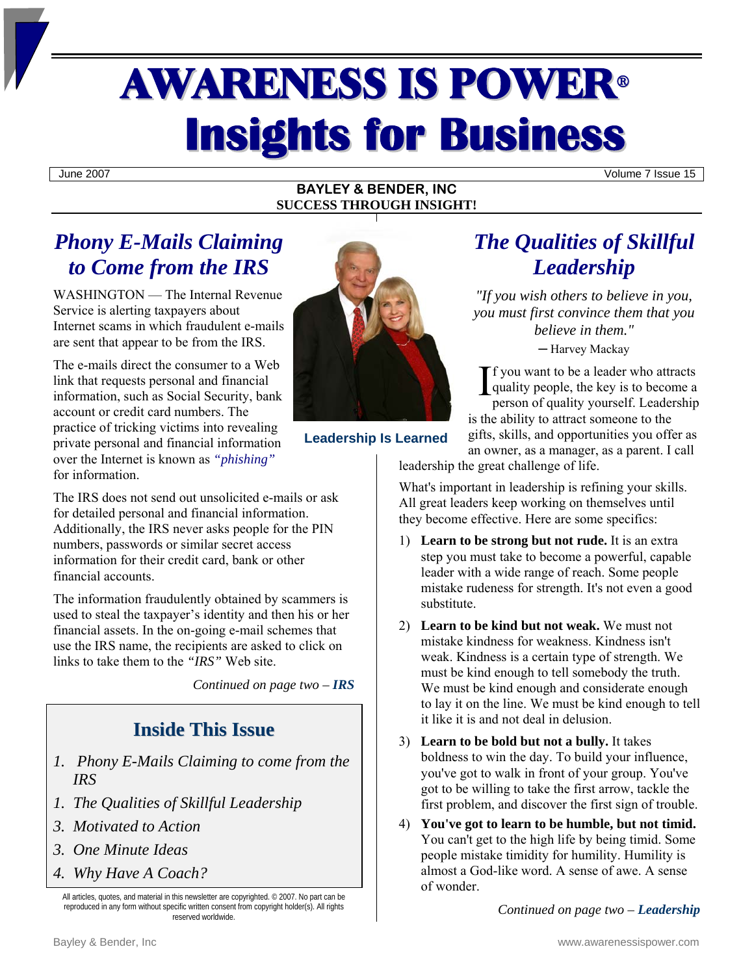# **AWARENESS IS POWER® Insights for Business**

June 2007 Volume 7 Issue 15

### **BAYLEY & BENDER, INC SUCCESS THROUGH INSIGHT!**

# *Phony E-Mails Claiming to Come from the IRS*

WASHINGTON — The Internal Revenue Service is alerting taxpayers about Internet scams in which fraudulent e-mails are sent that appear to be from the IRS.

The e-mails direct the consumer to a Web link that requests personal and financial information, such as Social Security, bank account or credit card numbers. The practice of tricking victims into revealing private personal and financial information over the Internet is known as *"phishing"* for information.

The IRS does not send out unsolicited e-mails or ask for detailed personal and financial information. Additionally, the IRS never asks people for the PIN numbers, passwords or similar secret access information for their credit card, bank or other financial accounts.

The information fraudulently obtained by scammers is used to steal the taxpayer's identity and then his or her financial assets. In the on-going e-mail schemes that use the IRS name, the recipients are asked to click on links to take them to the *"IRS"* Web site.

*Continued on page two – IRS* 

## **Inside This Issue**

- *1. Phony E-Mails Claiming to come from the IRS*
- *1. The Qualities of Skillful Leadership*
- *3. Motivated to Action*
- *3. One Minute Ideas*
- *4. Why Have A Coach?*

All articles, quotes, and material in this newsletter are copyrighted. © 2007. No part can be reproduced in any form without specific written consent from copyright holder(s). All rights reserved worldwide.



**Leadership Is Learned** 

# *The Qualities of Skillful Leadership*

*"If you wish others to believe in you, you must first convince them that you believe in them."* 

─ Harvey Mackay

 $\int$  f you want to be a leader who attracts<br>quality people, the key is to become a<br>person of quality yourself. Leadership quality people, the key is to become a person of quality yourself. Leadership is the ability to attract someone to the

gifts, skills, and opportunities you offer as an owner, as a manager, as a parent. I call

leadership the great challenge of life.

What's important in leadership is refining your skills. All great leaders keep working on themselves until they become effective. Here are some specifics:

- 1) **Learn to be strong but not rude.** It is an extra step you must take to become a powerful, capable leader with a wide range of reach. Some people mistake rudeness for strength. It's not even a good substitute.
- 2) **Learn to be kind but not weak.** We must not mistake kindness for weakness. Kindness isn't weak. Kindness is a certain type of strength. We must be kind enough to tell somebody the truth. We must be kind enough and considerate enough to lay it on the line. We must be kind enough to tell it like it is and not deal in delusion.
- 3) **Learn to be bold but not a bully.** It takes boldness to win the day. To build your influence, you've got to walk in front of your group. You've got to be willing to take the first arrow, tackle the first problem, and discover the first sign of trouble.
- 4) **You've got to learn to be humble, but not timid.**  You can't get to the high life by being timid. Some people mistake timidity for humility. Humility is almost a God-like word. A sense of awe. A sense of wonder.

*Continued on page two – Leadership*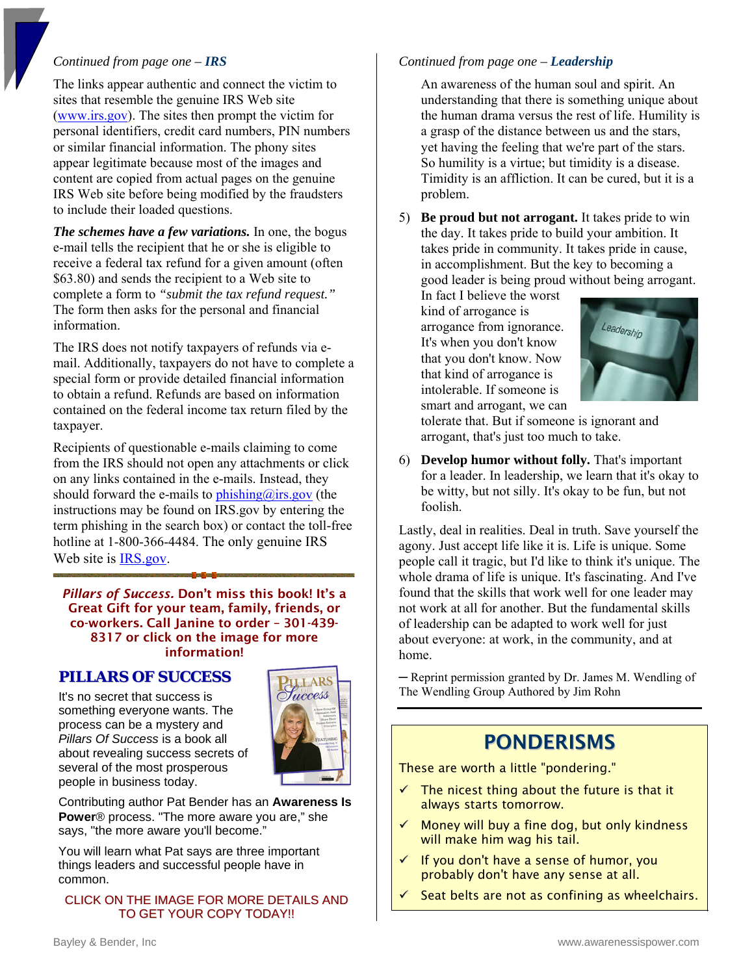### *Continued from page one – IRS*

The links appear authentic and connect the victim to sites that resemble the genuine IRS Web site [\(www.irs.gov\).](www.IRS.gov) The sites then prompt the victim for personal identifiers, credit card numbers, PIN numbers or similar financial information. The phony sites appear legitimate because most of the images and content are copied from actual pages on the genuine IRS Web site before being modified by the fraudsters to include their loaded questions.

*The schemes have a few variations.* In one, the bogus e-mail tells the recipient that he or she is eligible to receive a federal tax refund for a given amount (often \$63.80) and sends the recipient to a Web site to complete a form to *"submit the tax refund request."* The form then asks for the personal and financial information.

The IRS does not notify taxpayers of refunds via email. Additionally, taxpayers do not have to complete a special form or provide detailed financial information to obtain a refund. Refunds are based on information contained on the federal income tax return filed by the taxpayer.

Recipients of questionable e-mails claiming to come from the IRS should not open any attachments or click on any links contained in the e-mails. Instead, they should forward the e-mails to  $phishing@irs.gov$  (the instructions may be found on IRS.gov by entering the term phishing in the search box) or contact the toll-free hotline at 1-800-366-4484. The only genuine IRS Web site is **IRS** gov.

*Pillars of Success.* Don't miss this book! It's a Great Gift for your team, family, friends, or co-workers. Call Janine to order – 301-439- 8317 or click on the image for more information!

## **PILLARS OF SUCCESS**

It's no secret that success is something everyone wants. The process can be a mystery and *Pillars Of Success* is a book all about revealing success secrets of several of the most prosperous people in business today.



Contributing author Pat Bender has an **Awareness Is Power**® process. "The more aware you are," she says, "the more aware you'll become."

You will learn what Pat says are three important things leaders and successful people have in common.

#### CLICK ON THE IMAGE FOR MORE DETAILS AND TO GET YOUR COPY TODAY!!

#### *Continued from page one – Leadership*

An awareness of the human soul and spirit. An understanding that there is something unique about the human drama versus the rest of life. Humility is a grasp of the distance between us and the stars, yet having the feeling that we're part of the stars. So humility is a virtue; but timidity is a disease. Timidity is an affliction. It can be cured, but it is a problem.

5) **Be proud but not arrogant.** It takes pride to win the day. It takes pride to build your ambition. It takes pride in community. It takes pride in cause, in accomplishment. But the key to becoming a good leader is being proud without being arrogant.

In fact I believe the worst kind of arrogance is arrogance from ignorance. It's when you don't know that you don't know. Now that kind of arrogance is intolerable. If someone is smart and arrogant, we can



tolerate that. But if someone is ignorant and arrogant, that's just too much to take.

6) **Develop humor without folly.** That's important for a leader. In leadership, we learn that it's okay to be witty, but not silly. It's okay to be fun, but not foolish.

Lastly, deal in realities. Deal in truth. Save yourself the agony. Just accept life like it is. Life is unique. Some people call it tragic, but I'd like to think it's unique. The whole drama of life is unique. It's fascinating. And I've found that the skills that work well for one leader may not work at all for another. But the fundamental skills of leadership can be adapted to work well for just about everyone: at work, in the community, and at home.

─ Reprint permission granted by Dr. James M. Wendling of The Wendling Group Authored by Jim Rohn

## PONDERISMS

These are worth a little "pondering."

- The nicest thing about the future is that it always starts tomorrow.
- Money will buy a fine dog, but only kindness will make him wag his tail.
- If you don't have a sense of humor, you probably don't have any sense at all.
- Seat belts are not as confining as wheelchairs.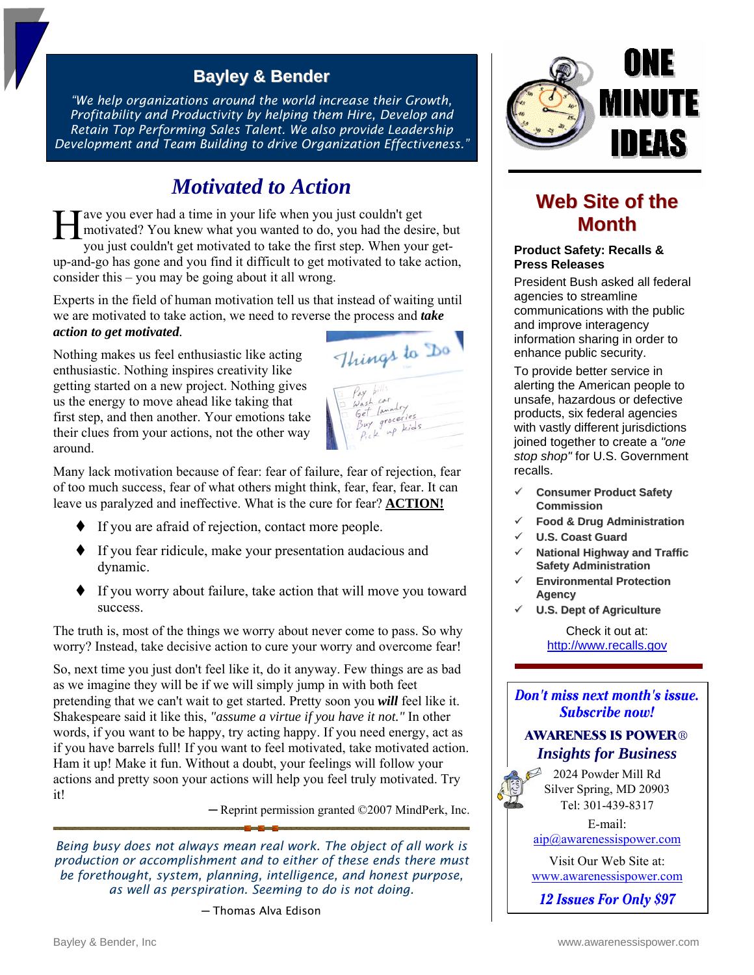## **Bayley & Bender**

*"We help organizations around the world increase their Growth, Profitability and Productivity by helping them Hire, Develop and Retain Top Performing Sales Talent. We also provide Leadership Development and Team Building to drive Organization Effectiveness."* 

## *Motivated to Action*

ave you ever had a time in your life when you just couldn't get motivated? You knew what you wanted to do, you had the desire, but you just couldn't get motivated to take the first step. When your getup-and-go has gone and you find it difficult to get motivated to take action, consider this – you may be going about it all wrong.  $\prod_{\mathrm{w}}^{\mathrm{av}}$ 

Experts in the field of human motivation tell us that instead of waiting until we are motivated to take action, we need to reverse the process and *take action to get motivated.* 

Nothing makes us feel enthusiastic like acting enthusiastic. Nothing inspires creativity like getting started on a new project. Nothing gives us the energy to move ahead like taking that first step, and then another. Your emotions take their clues from your actions, not the other way around.

Things to Do

Many lack motivation because of fear: fear of failure, fear of rejection, fear of too much success, fear of what others might think, fear, fear, fear. It can leave us paralyzed and ineffective. What is the cure for fear? **ACTION!**

- If you are afraid of rejection, contact more people.
- If you fear ridicule, make your presentation audacious and dynamic.
- If you worry about failure, take action that will move you toward success.

The truth is, most of the things we worry about never come to pass. So why worry? Instead, take decisive action to cure your worry and overcome fear!

So, next time you just don't feel like it, do it anyway. Few things are as bad as we imagine they will be if we will simply jump in with both feet pretending that we can't wait to get started. Pretty soon you *will* feel like it. Shakespeare said it like this, *"assume a virtue if you have it not."* In other words, if you want to be happy, try acting happy. If you need energy, act as if you have barrels full! If you want to feel motivated, take motivated action. Ham it up! Make it fun. Without a doubt, your feelings will follow your actions and pretty soon your actions will help you feel truly motivated. Try it!

─ Reprint permission granted ©2007 MindPerk, Inc.

*Being busy does not always mean real work. The object of all work is production or accomplishment and to either of these ends there must be forethought, system, planning, intelligence, and honest purpose, as well as perspiration. Seeming to do is not doing.* 

─ Thomas Alva Edison



## **Web Site of the Month**

#### **Product Safety: Recalls & Press Releases**

President Bush asked all federal agencies to streamline communications with the public and improve interagency information sharing in order to enhance public security.

To provide better service in alerting the American people to unsafe, hazardous or defective products, six federal agencies with vastly different jurisdictions joined together to create a *"one stop shop"* for U.S. Government recalls.

- 9 **Consumer Product Safety Commission**
- 9 **Food & Drug Administration**
- 9 **U.S. Coast Guard**
- 9 **National Highway and Traffic Safety Administration**
- 9 **Environmental Protection Agency**
- 9 **U.S. Dept of Agriculture**

Check it out at: [http://www.recalls.gov](www.recalls.gov)

#### Don't miss next month's issue. **Subscribe now!**

## **AWARENESS IS POWER**® *Insights for Business*

2024 Powder Mill Rd Silver Spring, MD 20903 Tel: 301-439-8317

E-mail: [aip@awarenessispower.com](mailto: aip@awarenessispower.com) 

Visit Our Web Site at: <www.awarenessispower.com>

12 Issues For Only \$97